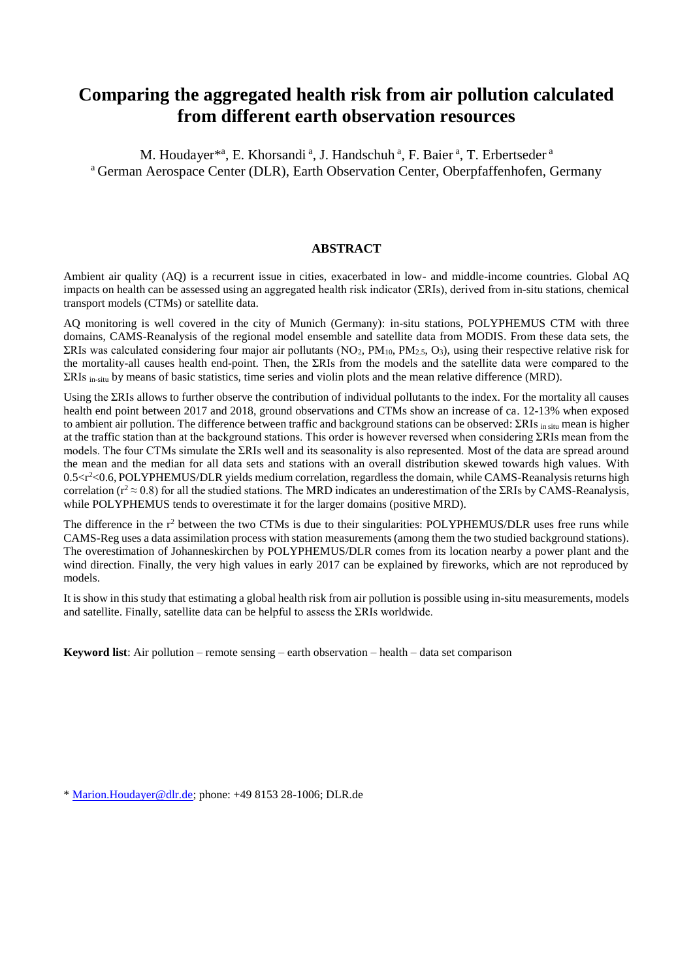# **Comparing the aggregated health risk from air pollution calculated from different earth observation resources**

M. Houdayer<sup>\*a</sup>, E. Khorsandi<sup>a</sup>, J. Handschuh<sup>a</sup>, F. Baier<sup>a</sup>, T. Erbertseder<sup>a</sup> <sup>a</sup> German Aerospace Center (DLR), Earth Observation Center, Oberpfaffenhofen, Germany

# **ABSTRACT**

Ambient air quality (AQ) is a recurrent issue in cities, exacerbated in low- and middle-income countries. Global AQ impacts on health can be assessed using an aggregated health risk indicator ( $\Sigma$ RIs), derived from in-situ stations, chemical transport models (CTMs) or satellite data.

AQ monitoring is well covered in the city of Munich (Germany): in-situ stations, POLYPHEMUS CTM with three domains, CAMS-Reanalysis of the regional model ensemble and satellite data from MODIS. From these data sets, the  $\Sigma$ RIs was calculated considering four major air pollutants (NO<sub>2</sub>, PM<sub>10</sub>, PM<sub>2.5</sub>, O<sub>3</sub>), using their respective relative risk for the mortality-all causes health end-point. Then, the  $\Sigma$ RIs from the models and the satellite data were compared to the  $\Sigma$ RIs <sub>in-situ</sub> by means of basic statistics, time series and violin plots and the mean relative difference (MRD).

Using the  $\Sigma$ RIs allows to further observe the contribution of individual pollutants to the index. For the mortality all causes health end point between 2017 and 2018, ground observations and CTMs show an increase of ca. 12-13% when exposed to ambient air pollution. The difference between traffic and background stations can be observed:  $\Sigma$ RIs in situ mean is higher at the traffic station than at the background stations. This order is however reversed when considering  $\Sigma$ RIs mean from the models. The four CTMs simulate the ΣRIs well and its seasonality is also represented. Most of the data are spread around the mean and the median for all data sets and stations with an overall distribution skewed towards high values. With 0.5<r<sup>2</sup><0.6, POLYPHEMUS/DLR yields medium correlation, regardless the domain, while CAMS-Reanalysis returns high correlation ( $r^2 \approx 0.8$ ) for all the studied stations. The MRD indicates an underestimation of the  $\Sigma R$ Is by CAMS-Reanalysis, while POLYPHEMUS tends to overestimate it for the larger domains (positive MRD).

The difference in the  $r^2$  between the two CTMs is due to their singularities: POLYPHEMUS/DLR uses free runs while CAMS-Reg uses a data assimilation process with station measurements (among them the two studied background stations). The overestimation of Johanneskirchen by POLYPHEMUS/DLR comes from its location nearby a power plant and the wind direction. Finally, the very high values in early 2017 can be explained by fireworks, which are not reproduced by models.

It is show in this study that estimating a global health risk from air pollution is possible using in-situ measurements, models and satellite. Finally, satellite data can be helpful to assess the  $\Sigma R$ Is worldwide.

**Keyword list**: Air pollution – remote sensing – earth observation – health – data set comparison

\* [Marion.Houdayer@dlr.de;](mailto:Marion.Houdayer@dlr.de) phone: +49 8153 28-1006; DLR.de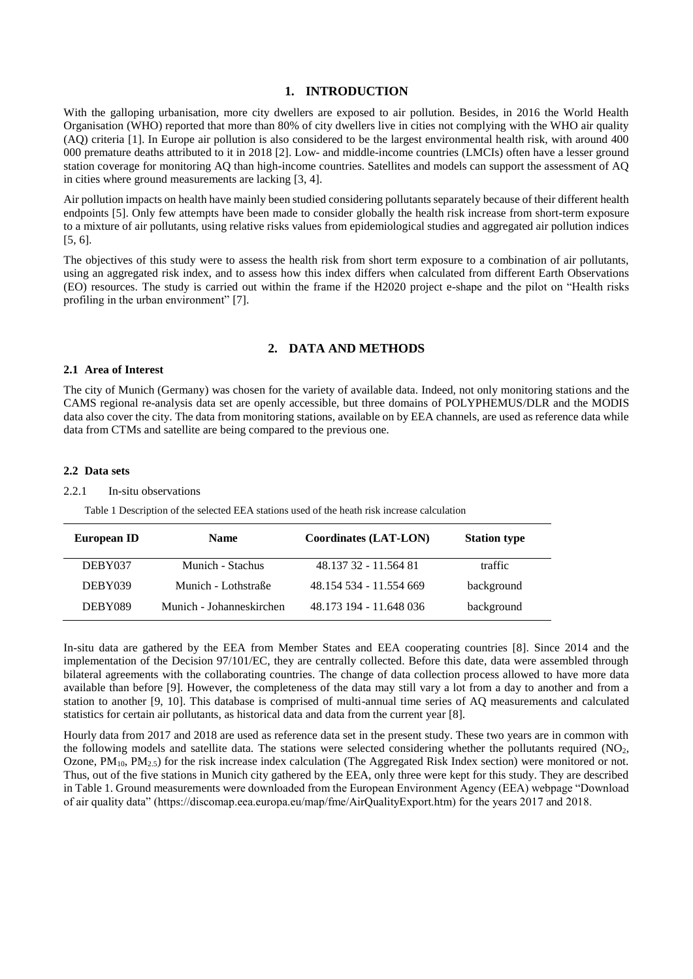## **1. INTRODUCTION**

With the galloping urbanisation, more city dwellers are exposed to air pollution. Besides, in 2016 the World Health Organisation (WHO) reported that more than 80% of city dwellers live in cities not complying with the WHO air quality (AQ) criteria [1]. In Europe air pollution is also considered to be the largest environmental health risk, with around 400 000 premature deaths attributed to it in 2018 [2]. Low- and middle-income countries (LMCIs) often have a lesser ground station coverage for monitoring AQ than high-income countries. Satellites and models can support the assessment of AQ in cities where ground measurements are lacking [3, 4].

Air pollution impacts on health have mainly been studied considering pollutants separately because of their different health endpoints [5]. Only few attempts have been made to consider globally the health risk increase from short-term exposure to a mixture of air pollutants, using relative risks values from epidemiological studies and aggregated air pollution indices [5, 6].

The objectives of this study were to assess the health risk from short term exposure to a combination of air pollutants, using an aggregated risk index, and to assess how this index differs when calculated from different Earth Observations (EO) resources. The study is carried out within the frame if the H2020 project e-shape and the pilot on "Health risks profiling in the urban environment" [7].

# **2. DATA AND METHODS**

## **2.1 Area of Interest**

The city of Munich (Germany) was chosen for the variety of available data. Indeed, not only monitoring stations and the CAMS regional re-analysis data set are openly accessible, but three domains of POLYPHEMUS/DLR and the MODIS data also cover the city. The data from monitoring stations, available on by EEA channels, are used as reference data while data from CTMs and satellite are being compared to the previous one.

### **2.2 Data sets**

#### 2.2.1 In-situ observations

Table 1 Description of the selected EEA stations used of the heath risk increase calculation

| European ID | <b>Name</b>              | <b>Coordinates (LAT-LON)</b> | <b>Station type</b> |
|-------------|--------------------------|------------------------------|---------------------|
| DEBY037     | Munich - Stachus         | 48.137 32 - 11.564 81        | traffic             |
| DEBY039     | Munich - Lothstraße      | 48.154.534 - 11.554.669      | background          |
| DEBY089     | Munich - Johanneskirchen | 48.173 194 - 11.648 036      | background          |

In-situ data are gathered by the EEA from Member States and EEA cooperating countries [8]. Since 2014 and the implementation of the Decision 97/101/EC, they are centrally collected. Before this date, data were assembled through bilateral agreements with the collaborating countries. The change of data collection process allowed to have more data available than before [9]. However, the completeness of the data may still vary a lot from a day to another and from a station to another [9, 10]. This database is comprised of multi-annual time series of AQ measurements and calculated statistics for certain air pollutants, as historical data and data from the current year [8].

Hourly data from 2017 and 2018 are used as reference data set in the present study. These two years are in common with the following models and satellite data. The stations were selected considering whether the pollutants required (NO2, Ozone, PM<sub>10</sub>, PM<sub>2.5</sub>) for the risk increase index calculation (The Aggregated Risk Index section) were monitored or not. Thus, out of the five stations in Munich city gathered by the EEA, only three were kept for this study. They are described in Table 1. Ground measurements were downloaded from the European Environment Agency (EEA) webpage "Download of air quality data" (https://discomap.eea.europa.eu/map/fme/AirQualityExport.htm) for the years 2017 and 2018.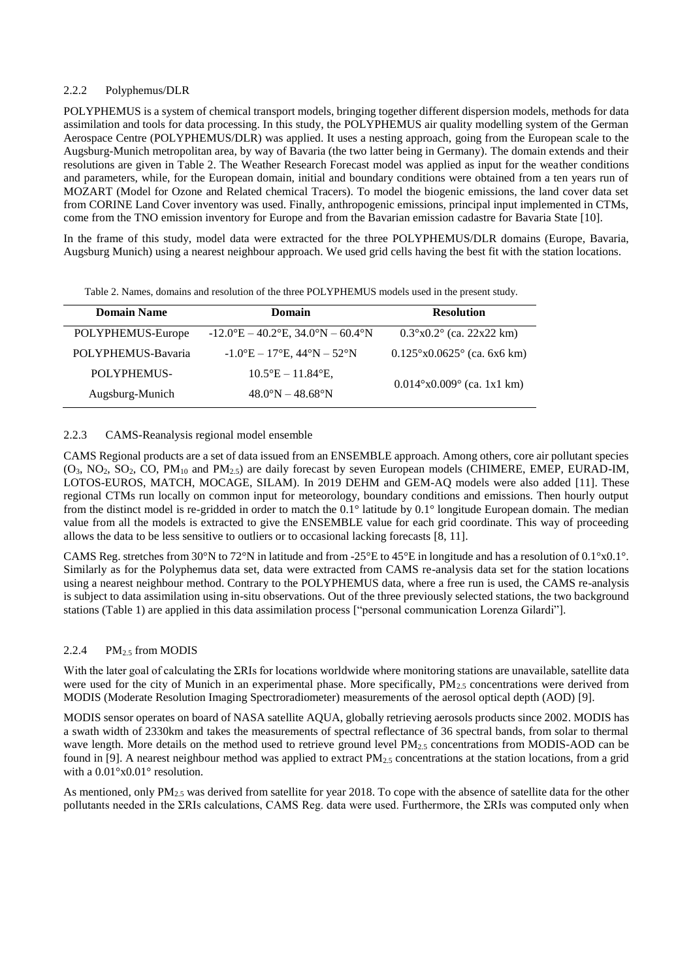# 2.2.2 Polyphemus/DLR

POLYPHEMUS is a system of chemical transport models, bringing together different dispersion models, methods for data assimilation and tools for data processing. In this study, the POLYPHEMUS air quality modelling system of the German Aerospace Centre (POLYPHEMUS/DLR) was applied. It uses a nesting approach, going from the European scale to the Augsburg-Munich metropolitan area, by way of Bavaria (the two latter being in Germany). The domain extends and their resolutions are given in Table 2. The Weather Research Forecast model was applied as input for the weather conditions and parameters, while, for the European domain, initial and boundary conditions were obtained from a ten years run of MOZART (Model for Ozone and Related chemical Tracers). To model the biogenic emissions, the land cover data set from CORINE Land Cover inventory was used. Finally, anthropogenic emissions, principal input implemented in CTMs, come from the TNO emission inventory for Europe and from the Bavarian emission cadastre for Bavaria State [10].

In the frame of this study, model data were extracted for the three POLYPHEMUS/DLR domains (Europe, Bavaria, Augsburg Munich) using a nearest neighbour approach. We used grid cells having the best fit with the station locations.

|  |  |  | Table 2. Names, domains and resolution of the three POLYPHEMUS models used in the present study. |
|--|--|--|--------------------------------------------------------------------------------------------------|
|  |  |  |                                                                                                  |

| <b>Domain Name</b> | Domain                                                                             | <b>Resolution</b>                           |  |  |
|--------------------|------------------------------------------------------------------------------------|---------------------------------------------|--|--|
| POLYPHEMUS-Europe  | $-12.0^{\circ}E - 40.2^{\circ}E$ , 34.0°N – 60.4°N                                 | $0.3^{\circ}x0.2^{\circ}$ (ca. 22x22 km)    |  |  |
| POLYPHEMUS-Bavaria | $-1.0$ <sup>o</sup> E $-17$ <sup>o</sup> E, 44 <sup>o</sup> N $-52$ <sup>o</sup> N | $0.125^{\circ}x0.0625^{\circ}$ (ca. 6x6 km) |  |  |
| POLYPHEMUS-        | $10.5^{\circ}E - 11.84^{\circ}E$                                                   | $0.014^{\circ}x0.009^{\circ}$ (ca. 1x1 km)  |  |  |
| Augsburg-Munich    | $48.0^\circ N - 48.68^\circ N$                                                     |                                             |  |  |

# 2.2.3 CAMS-Reanalysis regional model ensemble

CAMS Regional products are a set of data issued from an ENSEMBLE approach. Among others, core air pollutant species  $(O_3, NO_2, SO_2, CO, PM_{10}$  and  $PM_{2.5}$ ) are daily forecast by seven European models (CHIMERE, EMEP, EURAD-IM, LOTOS-EUROS, MATCH, MOCAGE, SILAM). In 2019 DEHM and GEM-AQ models were also added [11]. These regional CTMs run locally on common input for meteorology, boundary conditions and emissions. Then hourly output from the distinct model is re-gridded in order to match the 0.1° latitude by 0.1° longitude European domain. The median value from all the models is extracted to give the ENSEMBLE value for each grid coordinate. This way of proceeding allows the data to be less sensitive to outliers or to occasional lacking forecasts [8, 11].

CAMS Reg. stretches from 30°N to 72°N in latitude and from -25°E to 45°E in longitude and has a resolution of 0.1°x0.1°. Similarly as for the Polyphemus data set, data were extracted from CAMS re-analysis data set for the station locations using a nearest neighbour method. Contrary to the POLYPHEMUS data, where a free run is used, the CAMS re-analysis is subject to data assimilation using in-situ observations. Out of the three previously selected stations, the two background stations (Table 1) are applied in this data assimilation process ["personal communication Lorenza Gilardi"].

# 2.2.4 PM $_{2.5}$  from MODIS

With the later goal of calculating the  $\Sigma$ RIs for locations worldwide where monitoring stations are unavailable, satellite data were used for the city of Munich in an experimental phase. More specifically,  $PM_{2.5}$  concentrations were derived from MODIS (Moderate Resolution Imaging Spectroradiometer) measurements of the aerosol optical depth (AOD) [9].

MODIS sensor operates on board of NASA satellite AQUA, globally retrieving aerosols products since 2002. MODIS has a swath width of 2330km and takes the measurements of spectral reflectance of 36 spectral bands, from solar to thermal wave length. More details on the method used to retrieve ground level  $PM_{2.5}$  concentrations from MODIS-AOD can be found in [9]. A nearest neighbour method was applied to extract  $PM<sub>2.5</sub>$  concentrations at the station locations, from a grid with a 0.01°x0.01° resolution.

As mentioned, only PM<sub>2.5</sub> was derived from satellite for year 2018. To cope with the absence of satellite data for the other pollutants needed in the ƩRIs calculations, CAMS Reg. data were used. Furthermore, the ƩRIs was computed only when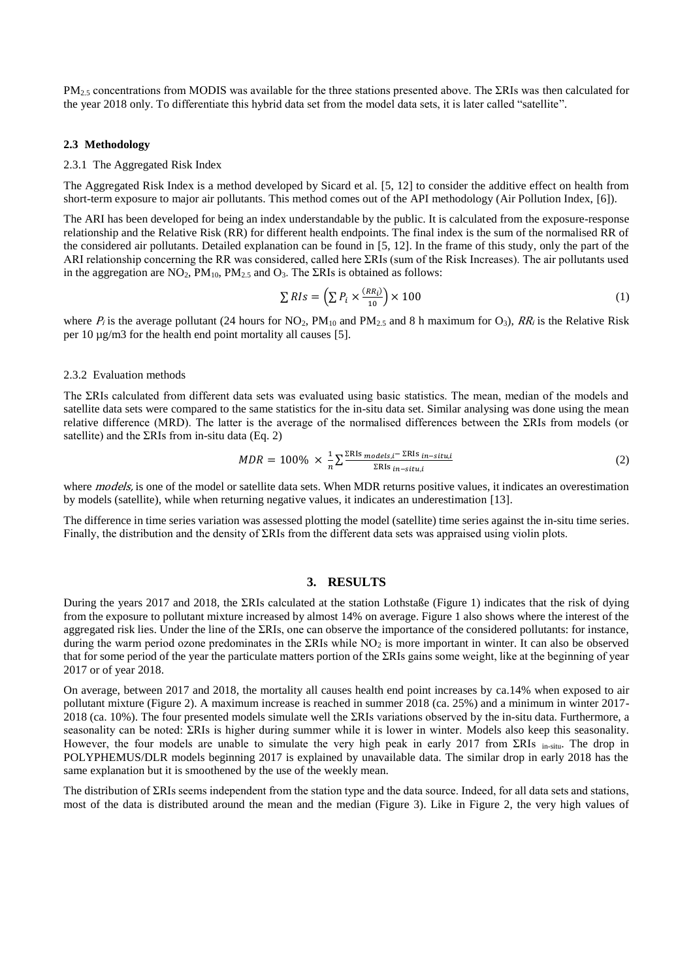$PM_{2.5}$  concentrations from MODIS was available for the three stations presented above. The  $\Sigma$ RIs was then calculated for the year 2018 only. To differentiate this hybrid data set from the model data sets, it is later called "satellite".

### **2.3 Methodology**

### 2.3.1 The Aggregated Risk Index

The Aggregated Risk Index is a method developed by Sicard et al. [5, 12] to consider the additive effect on health from short-term exposure to major air pollutants. This method comes out of the API methodology (Air Pollution Index, [6]).

The ARI has been developed for being an index understandable by the public. It is calculated from the exposure-response relationship and the Relative Risk (RR) for different health endpoints. The final index is the sum of the normalised RR of the considered air pollutants. Detailed explanation can be found in [5, 12]. In the frame of this study, only the part of the ARI relationship concerning the RR was considered, called here  $\Sigma$ RIs (sum of the Risk Increases). The air pollutants used in the aggregation are  $NO<sub>2</sub>$ ,  $PM<sub>10</sub>$ ,  $PM<sub>2.5</sub>$  and  $O<sub>3</sub>$ . The  $\Sigma$ RIs is obtained as follows:

$$
\sum RIs = \left(\sum P_i \times \frac{(RR_i)}{10}\right) \times 100\tag{1}
$$

where  $P_i$  is the average pollutant (24 hours for NO<sub>2</sub>, PM<sub>10</sub> and PM<sub>2.5</sub> and 8 h maximum for O<sub>3</sub>), RR<sub>i</sub> is the Relative Risk per 10 µg/m3 for the health end point mortality all causes [5].

## 2.3.2 Evaluation methods

The ΣRIs calculated from different data sets was evaluated using basic statistics. The mean, median of the models and satellite data sets were compared to the same statistics for the in-situ data set. Similar analysing was done using the mean relative difference (MRD). The latter is the average of the normalised differences between the ƩRIs from models (or satellite) and the  $\Sigma$ RIs from in-situ data (Eq. 2)

$$
MDR = 100\% \times \frac{1}{n} \sum \frac{\Sigma \text{RIs}_{\text{models,i}} - \Sigma \text{RIs}_{\text{in-situ},i}}{\Sigma \text{RIs}_{\text{in-situ},i}} \tag{2}
$$

where *models*, is one of the model or satellite data sets. When MDR returns positive values, it indicates an overestimation by models (satellite), while when returning negative values, it indicates an underestimation [13].

The difference in time series variation was assessed plotting the model (satellite) time series against the in-situ time series. Finally, the distribution and the density of  $\Sigma RIs$  from the different data sets was appraised using violin plots.

#### **3. RESULTS**

During the years 2017 and 2018, the  $\Sigma$ RIs calculated at the station Lothstaße (Figure 1) indicates that the risk of dying from the exposure to pollutant mixture increased by almost 14% on average. Figure 1 also shows where the interest of the aggregated risk lies. Under the line of the  $\Sigma$ RIs, one can observe the importance of the considered pollutants: for instance, during the warm period ozone predominates in the  $\Sigma$ RIs while NO<sub>2</sub> is more important in winter. It can also be observed that for some period of the year the particulate matters portion of the  $\Sigma$ RIs gains some weight, like at the beginning of year 2017 or of year 2018.

On average, between 2017 and 2018, the mortality all causes health end point increases by ca.14% when exposed to air pollutant mixture (Figure 2). A maximum increase is reached in summer 2018 (ca. 25%) and a minimum in winter 2017-  $2018$  (ca. 10%). The four presented models simulate well the  $\Sigma$ RIs variations observed by the in-situ data. Furthermore, a seasonality can be noted:  $\Sigma RIs$  is higher during summer while it is lower in winter. Models also keep this seasonality. However, the four models are unable to simulate the very high peak in early 2017 from  $\Sigma RIs$  in-situ. The drop in POLYPHEMUS/DLR models beginning 2017 is explained by unavailable data. The similar drop in early 2018 has the same explanation but it is smoothened by the use of the weekly mean.

The distribution of  $\Sigma$ RIs seems independent from the station type and the data source. Indeed, for all data sets and stations, most of the data is distributed around the mean and the median (Figure 3). Like in Figure 2, the very high values of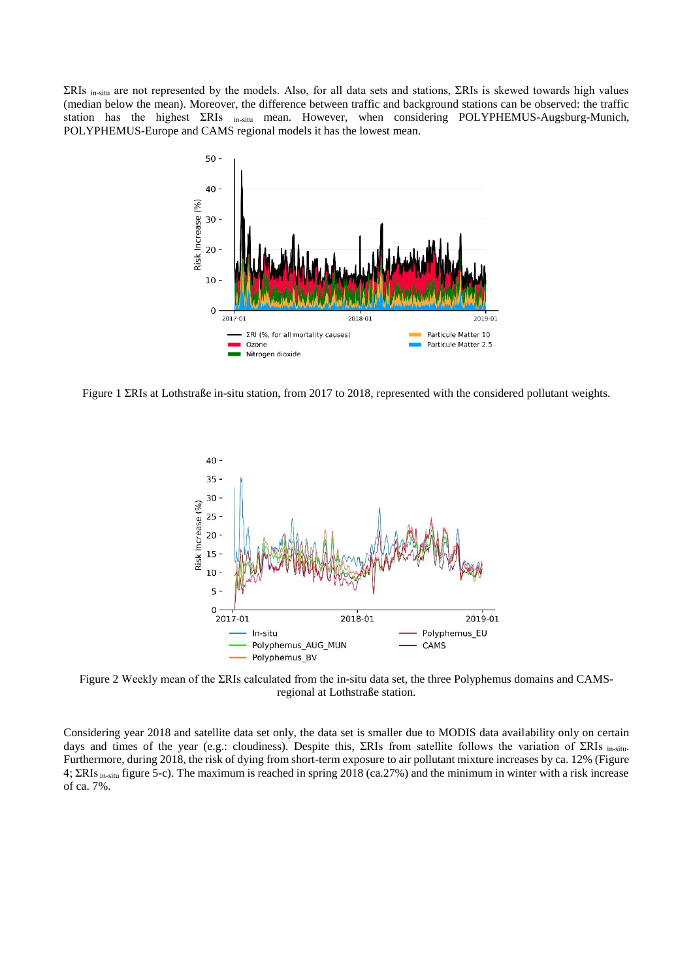$\Sigma$ RIs in-situ are not represented by the models. Also, for all data sets and stations,  $\Sigma$ RIs is skewed towards high values (median below the mean). Moreover, the difference between traffic and background stations can be observed: the traffic station has the highest  $\Sigma$ RIs <sub>in-situ</sub> mean. However, when considering POLYPHEMUS-Augsburg-Munich, POLYPHEMUS-Europe and CAMS regional models it has the lowest mean.



Figure 1  $\Sigma$ RIs at Lothstraße in-situ station, from 2017 to 2018, represented with the considered pollutant weights.



Figure 2 Weekly mean of the ΣRIs calculated from the in-situ data set, the three Polyphemus domains and CAMSregional at Lothstraße station.

Considering year 2018 and satellite data set only, the data set is smaller due to MODIS data availability only on certain days and times of the year (e.g.: cloudiness). Despite this,  $\Sigma RIs$  from satellite follows the variation of  $\Sigma RIs$  in-situ-Furthermore, during 2018, the risk of dying from short-term exposure to air pollutant mixture increases by ca. 12% (Figure 4;  $\Sigma$ RIs <sub>in-situ</sub> figure 5-c). The maximum is reached in spring 2018 (ca.27%) and the minimum in winter with a risk increase of ca. 7%.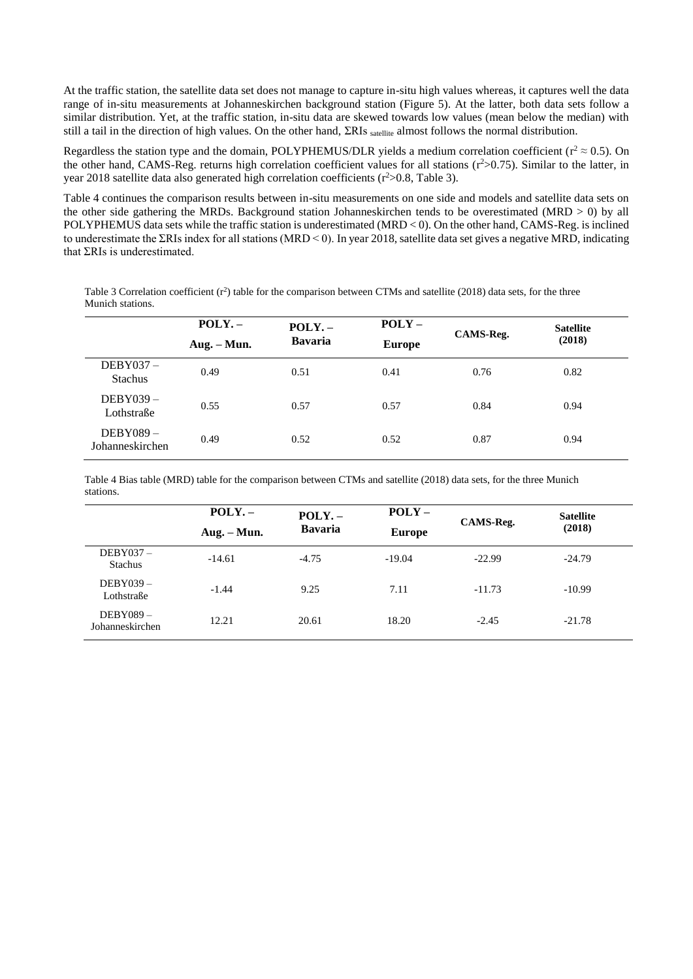At the traffic station, the satellite data set does not manage to capture in-situ high values whereas, it captures well the data range of in-situ measurements at Johanneskirchen background station (Figure 5). At the latter, both data sets follow a similar distribution. Yet, at the traffic station, in-situ data are skewed towards low values (mean below the median) with still a tail in the direction of high values. On the other hand, ΣRIs satellite almost follows the normal distribution.

Regardless the station type and the domain, POLYPHEMUS/DLR yields a medium correlation coefficient ( $r^2 \approx 0.5$ ). On the other hand, CAMS-Reg. returns high correlation coefficient values for all stations  $(r^2>0.75)$ . Similar to the latter, in year 2018 satellite data also generated high correlation coefficients (r<sup>2</sup>>0.8, Table 3).

Table 4 continues the comparison results between in-situ measurements on one side and models and satellite data sets on the other side gathering the MRDs. Background station Johanneskirchen tends to be overestimated (MRD > 0) by all POLYPHEMUS data sets while the traffic station is underestimated (MRD < 0). On the other hand, CAMS-Reg. is inclined to underestimate the  $\Sigma$ RIs index for all stations (MRD < 0). In year 2018, satellite data set gives a negative MRD, indicating that  $\Sigma$ RIs is underestimated.

Table 3 Correlation coefficient  $(r^2)$  table for the comparison between CTMs and satellite (2018) data sets, for the three Munich stations.

|                               | POLY. –<br>$Aug. - Mun.$ | $POLY. -$<br><b>Bavaria</b> | $POLY -$<br><b>Europe</b> | CAMS-Reg. | <b>Satellite</b><br>(2018) |
|-------------------------------|--------------------------|-----------------------------|---------------------------|-----------|----------------------------|
| $DEBY037 -$<br><b>Stachus</b> | 0.49                     | 0.51                        | 0.41                      | 0.76      | 0.82                       |
| $DEBY039-$<br>Lothstraße      | 0.55                     | 0.57                        | 0.57                      | 0.84      | 0.94                       |
| $DEBY089-$<br>Johanneskirchen | 0.49                     | 0.52                        | 0.52                      | 0.87      | 0.94                       |

Table 4 Bias table (MRD) table for the comparison between CTMs and satellite (2018) data sets, for the three Munich stations.

|                               | POLY. –       | $POLY. -$      | $POLY -$      |           | <b>Satellite</b> |  |
|-------------------------------|---------------|----------------|---------------|-----------|------------------|--|
|                               | $Aug. - Mun.$ | <b>Bavaria</b> | <b>Europe</b> | CAMS-Reg. | (2018)           |  |
| $DEBY037 -$<br><b>Stachus</b> | $-14.61$      | $-4.75$        | $-19.04$      | $-22.99$  | $-24.79$         |  |
| $DEBY039-$<br>Lothstraße      | $-1.44$       | 9.25           | 7.11          | $-11.73$  | $-10.99$         |  |
| $DEBY089-$<br>Johanneskirchen | 12.21         | 20.61          | 18.20         | $-2.45$   | $-21.78$         |  |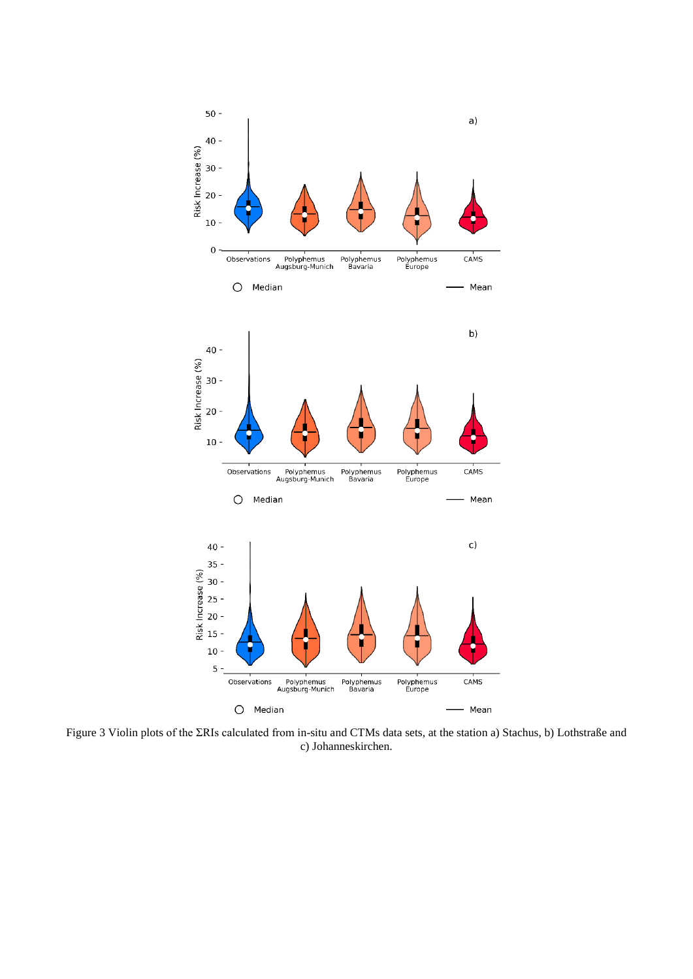

Figure 3 Violin plots of the  $\Sigma$ RIs calculated from in-situ and CTMs data sets, at the station a) Stachus, b) Lothstraße and c) Johanneskirchen.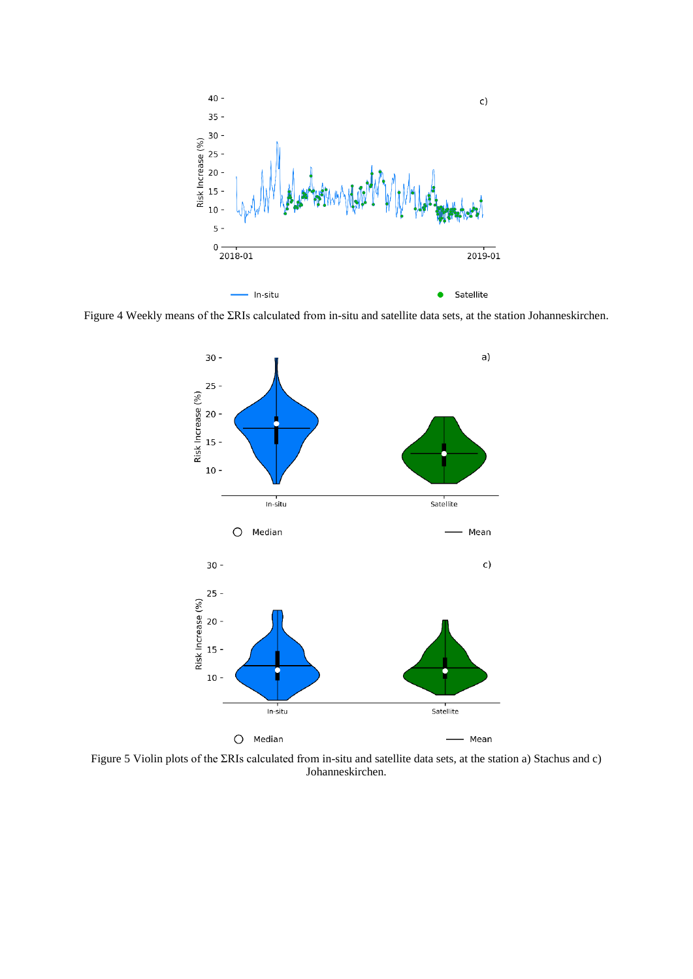

Figure 4 Weekly means of the  $\Sigma$ RIs calculated from in-situ and satellite data sets, at the station Johanneskirchen.



Figure 5 Violin plots of the  $\Sigma$ RIs calculated from in-situ and satellite data sets, at the station a) Stachus and c) Johanneskirchen.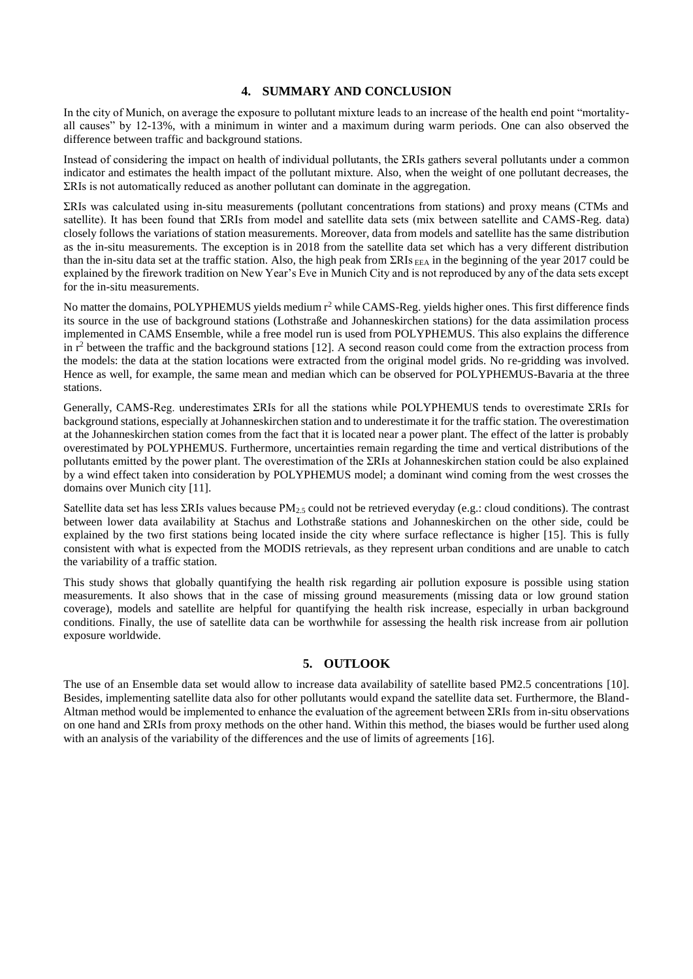# **4. SUMMARY AND CONCLUSION**

In the city of Munich, on average the exposure to pollutant mixture leads to an increase of the health end point "mortalityall causes" by 12-13%, with a minimum in winter and a maximum during warm periods. One can also observed the difference between traffic and background stations.

Instead of considering the impact on health of individual pollutants, the  $\Sigma$ RIs gathers several pollutants under a common indicator and estimates the health impact of the pollutant mixture. Also, when the weight of one pollutant decreases, the ƩRIs is not automatically reduced as another pollutant can dominate in the aggregation.

ƩRIs was calculated using in-situ measurements (pollutant concentrations from stations) and proxy means (CTMs and satellite). It has been found that  $\Sigma$ RIs from model and satellite data sets (mix between satellite and CAMS-Reg. data) closely follows the variations of station measurements. Moreover, data from models and satellite has the same distribution as the in-situ measurements. The exception is in 2018 from the satellite data set which has a very different distribution than the in-situ data set at the traffic station. Also, the high peak from  $\Sigma R$ Is <sub>EEA</sub> in the beginning of the year 2017 could be explained by the firework tradition on New Year's Eve in Munich City and is not reproduced by any of the data sets except for the in-situ measurements.

No matter the domains, POLYPHEMUS yields medium  $r^2$  while CAMS-Reg. yields higher ones. This first difference finds its source in the use of background stations (Lothstraße and Johanneskirchen stations) for the data assimilation process implemented in CAMS Ensemble, while a free model run is used from POLYPHEMUS. This also explains the difference in  $r^2$  between the traffic and the background stations [12]. A second reason could come from the extraction process from the models: the data at the station locations were extracted from the original model grids. No re-gridding was involved. Hence as well, for example, the same mean and median which can be observed for POLYPHEMUS-Bavaria at the three stations.

Generally, CAMS-Reg. underestimates  $\Sigma$ RIs for all the stations while POLYPHEMUS tends to overestimate  $\Sigma$ RIs for background stations, especially at Johanneskirchen station and to underestimate it for the traffic station. The overestimation at the Johanneskirchen station comes from the fact that it is located near a power plant. The effect of the latter is probably overestimated by POLYPHEMUS. Furthermore, uncertainties remain regarding the time and vertical distributions of the pollutants emitted by the power plant. The overestimation of the  $\Sigma RIs$  at Johanneskirchen station could be also explained by a wind effect taken into consideration by POLYPHEMUS model; a dominant wind coming from the west crosses the domains over Munich city [11].

Satellite data set has less  $\Sigma$ RIs values because PM<sub>2.5</sub> could not be retrieved everyday (e.g.: cloud conditions). The contrast between lower data availability at Stachus and Lothstraße stations and Johanneskirchen on the other side, could be explained by the two first stations being located inside the city where surface reflectance is higher [15]. This is fully consistent with what is expected from the MODIS retrievals, as they represent urban conditions and are unable to catch the variability of a traffic station.

This study shows that globally quantifying the health risk regarding air pollution exposure is possible using station measurements. It also shows that in the case of missing ground measurements (missing data or low ground station coverage), models and satellite are helpful for quantifying the health risk increase, especially in urban background conditions. Finally, the use of satellite data can be worthwhile for assessing the health risk increase from air pollution exposure worldwide.

# **5. OUTLOOK**

The use of an Ensemble data set would allow to increase data availability of satellite based PM2.5 concentrations [10]. Besides, implementing satellite data also for other pollutants would expand the satellite data set. Furthermore, the Bland-Altman method would be implemented to enhance the evaluation of the agreement between  $\Sigma$ RIs from in-situ observations on one hand and ƩRIs from proxy methods on the other hand. Within this method, the biases would be further used along with an analysis of the variability of the differences and the use of limits of agreements [16].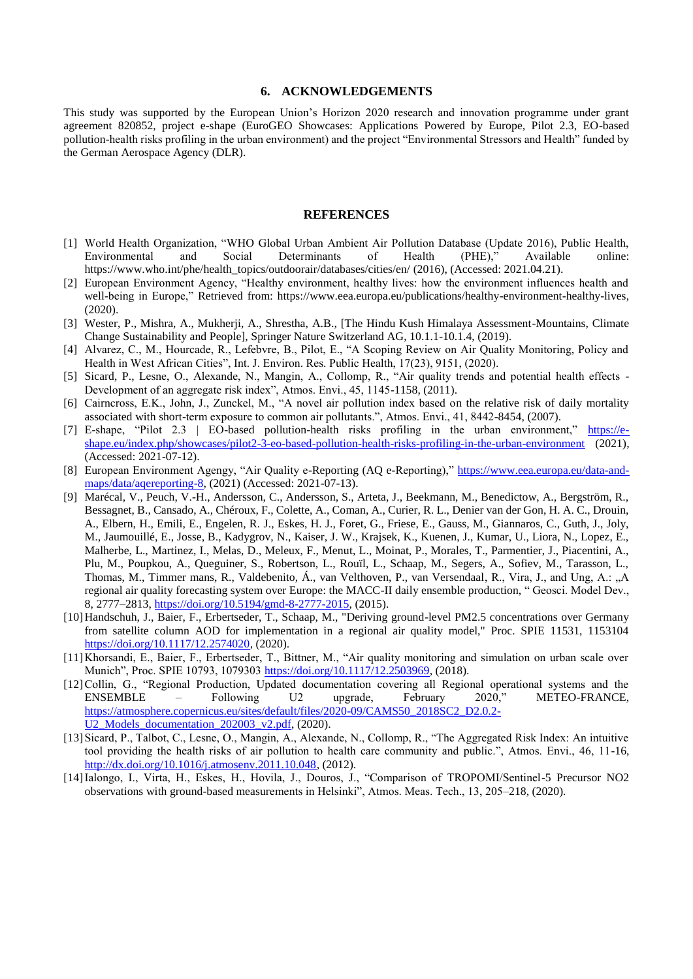## **6. ACKNOWLEDGEMENTS**

This study was supported by the European Union's Horizon 2020 research and innovation programme under grant agreement 820852, project e-shape (EuroGEO Showcases: Applications Powered by Europe, Pilot 2.3, EO-based pollution-health risks profiling in the urban environment) and the project "Environmental Stressors and Health" funded by the German Aerospace Agency (DLR).

## **REFERENCES**

- [1] World Health Organization, "WHO Global Urban Ambient Air Pollution Database (Update 2016), Public Health, Environmental and Social Determinants of Health (PHE)," Available online: https://www.who.int/phe/health\_topics/outdoorair/databases/cities/en/ (2016), (Accessed: 2021.04.21).
- [2] European Environment Agency, "Healthy environment, healthy lives: how the environment influences health and well-being in Europe," Retrieved from: https://www.eea.europa.eu/publications/healthy-environment-healthy-lives, (2020).
- [3] Wester, P., Mishra, A., Mukherji, A., Shrestha, A.B., [The Hindu Kush Himalaya Assessment-Mountains, Climate Change Sustainability and People], Springer Nature Switzerland AG, 10.1.1-10.1.4, (2019).
- [4] Alvarez, C., M., Hourcade, R., Lefebvre, B., Pilot, E., "A Scoping Review on Air Quality Monitoring, Policy and Health in West African Cities", Int. J. Environ. Res. Public Health, 17(23), 9151, (2020).
- [5] Sicard, P., Lesne, O., Alexande, N., Mangin, A., Collomp, R., "Air quality trends and potential health effects Development of an aggregate risk index", Atmos. Envi., 45, 1145-1158, (2011).
- [6] Cairncross, E.K., John, J., Zunckel, M., "A novel air pollution index based on the relative risk of daily mortality associated with short-term exposure to common air pollutants.", Atmos. Envi., 41, 8442-8454, (2007).
- [7] E-shape, "Pilot 2.3 | EO-based pollution-health risks profiling in the urban environment," [https://e](https://e-shape.eu/index.php/showcases/pilot2-3-eo-based-pollution-health-risks-profiling-in-the-urban-environment)[shape.eu/index.php/showcases/pilot2-3-eo-based-pollution-health-risks-profiling-in-the-urban-environment](https://e-shape.eu/index.php/showcases/pilot2-3-eo-based-pollution-health-risks-profiling-in-the-urban-environment) (2021), (Accessed: 2021-07-12).
- [8] European Environment Agengy, "Air Quality e-Reporting (AQ e-Reporting)," [https://www.eea.europa.eu/data-and](https://www.eea.europa.eu/data-and-maps/data/aqereporting-8)[maps/data/aqereporting-8,](https://www.eea.europa.eu/data-and-maps/data/aqereporting-8) (2021) (Accessed: 2021-07-13).
- [9] Marécal, V., Peuch, V.-H., Andersson, C., Andersson, S., Arteta, J., Beekmann, M., Benedictow, A., Bergström, R., Bessagnet, B., Cansado, A., Chéroux, F., Colette, A., Coman, A., Curier, R. L., Denier van der Gon, H. A. C., Drouin, A., Elbern, H., Emili, E., Engelen, R. J., Eskes, H. J., Foret, G., Friese, E., Gauss, M., Giannaros, C., Guth, J., Joly, M., Jaumouillé, E., Josse, B., Kadygrov, N., Kaiser, J. W., Krajsek, K., Kuenen, J., Kumar, U., Liora, N., Lopez, E., Malherbe, L., Martinez, I., Melas, D., Meleux, F., Menut, L., Moinat, P., Morales, T., Parmentier, J., Piacentini, A., Plu, M., Poupkou, A., Queguiner, S., Robertson, L., Rouïl, L., Schaap, M., Segers, A., Sofiev, M., Tarasson, L., Thomas, M., Timmer mans, R., Valdebenito, Á., van Velthoven, P., van Versendaal, R., Vira, J., and Ung, A.: "A regional air quality forecasting system over Europe: the MACC-II daily ensemble production, " Geosci. Model Dev., 8, 2777–2813[, https://doi.org/10.5194/gmd-8-2777-2015,](https://doi.org/10.5194/gmd-8-2777-2015) (2015).
- [10]Handschuh, J., Baier, F., Erbertseder, T., Schaap, M., "Deriving ground-level PM2.5 concentrations over Germany from satellite column AOD for implementation in a regional air quality model," Proc. SPIE 11531, 1153104 [https://doi.org/10.1117/12.2574020,](https://doi.org/10.1117/12.2574020) (2020).
- [11]Khorsandi, E., Baier, F., Erbertseder, T., Bittner, M., "Air quality monitoring and simulation on urban scale over Munich", Proc. SPIE 10793, 1079303 [https://doi.org/10.1117/12.2503969,](https://doi.org/10.1117/12.2503969) (2018).
- [12]Collin, G., "Regional Production, Updated documentation covering all Regional operational systems and the ENSEMBLE – Following U2 upgrade, February 2020," METEO-FRANCE, [https://atmosphere.copernicus.eu/sites/default/files/2020-09/CAMS50\\_2018SC2\\_D2.0.2-](https://atmosphere.copernicus.eu/sites/default/files/2020-09/CAMS50_2018SC2_D2.0.2-U2_Models_documentation_202003_v2.pdf) U2<sup>Models</sup> documentation 202003 v2.pdf, (2020).
- [13]Sicard, P., Talbot, C., Lesne, O., Mangin, A., Alexande, N., Collomp, R., "The Aggregated Risk Index: An intuitive tool providing the health risks of air pollution to health care community and public.", Atmos. Envi., 46, 11-16, [http://dx.doi.org/10.1016/j.atmosenv.2011.10.048,](http://dx.doi.org/10.1016/j.atmosenv.2011.10.048) (2012).
- [14]Ialongo, I., Virta, H., Eskes, H., Hovila, J., Douros, J., "Comparison of TROPOMI/Sentinel-5 Precursor NO2 observations with ground-based measurements in Helsinki", Atmos. Meas. Tech., 13, 205–218, (2020).